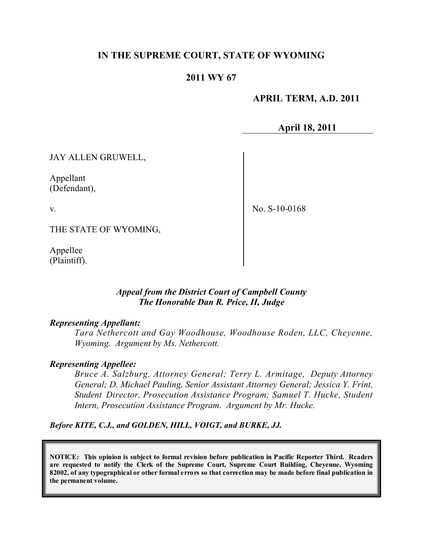# **IN THE SUPREME COURT, STATE OF WYOMING**

### **2011 WY 67**

### **APRIL TERM, A.D. 2011**

**April 18, 2011**

JAY ALLEN GRUWELL,

Appellant (Defendant),

v.

No. S-10-0168

THE STATE OF WYOMING,

Appellee (Plaintiff).

### *Appeal from the District Court of Campbell County The Honorable Dan R. Price, II, Judge*

### *Representing Appellant:*

*Tara Nethercott and Gay Woodhouse, Woodhouse Roden, LLC, Cheyenne, Wyoming. Argument by Ms. Nethercott.*

### *Representing Appellee:*

*Bruce A. Salzburg, Attorney General; Terry L. Armitage, Deputy Attorney General; D. Michael Pauling, Senior Assistant Attorney General; Jessica Y. Frint, Student Director, Prosecution Assistance Program; Samuel T. Hucke, Student Intern, Prosecution Assistance Program. Argument by Mr. Hucke.*

*Before KITE, C.J., and GOLDEN, HILL, VOIGT, and BURKE, JJ.*

**NOTICE: This opinion is subject to formal revision before publication in Pacific Reporter Third. Readers are requested to notify the Clerk of the Supreme Court, Supreme Court Building, Cheyenne, Wyoming** 82002, of any typographical or other formal errors so that correction may be made before final publication in **the permanent volume.**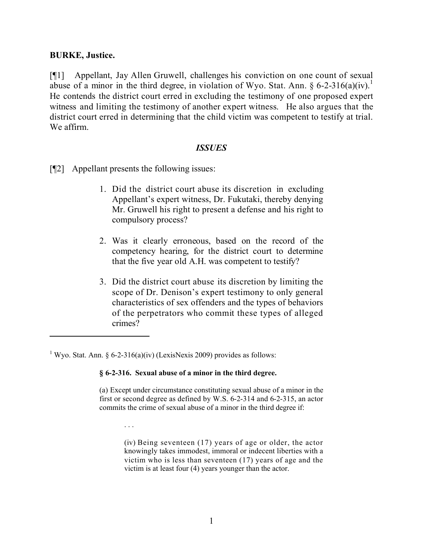#### **BURKE, Justice.**

[¶1] Appellant, Jay Allen Gruwell, challenges his conviction on one count of sexual abuse of a minor in the third degree, in violation of Wyo. Stat. Ann. § 6-2-316(a)(iv).<sup>1</sup> He contends the district court erred in excluding the testimony of one proposed expert witness and limiting the testimony of another expert witness. He also argues that the district court erred in determining that the child victim was competent to testify at trial. We affirm.

#### *ISSUES*

[¶2] Appellant presents the following issues:

- 1. Did the district court abuse its discretion in excluding Appellant's expert witness, Dr. Fukutaki, thereby denying Mr. Gruwell his right to present a defense and his right to compulsory process?
- 2. Was it clearly erroneous, based on the record of the competency hearing, for the district court to determine that the five year old A.H. was competent to testify?
- 3. Did the district court abuse its discretion by limiting the scope of Dr. Denison's expert testimony to only general characteristics of sex offenders and the types of behaviors of the perpetrators who commit these types of alleged crimes?

<sup>1</sup> Wyo. Stat. Ann. § 6-2-316(a)(iv) (LexisNexis 2009) provides as follows:

. . .

#### **§ 6-2-316. Sexual abuse of a minor in the third degree.**

(a) Except under circumstance constituting sexual abuse of a minor in the first or second degree as defined by W.S. 6-2-314 and 6-2-315, an actor commits the crime of sexual abuse of a minor in the third degree if:

> (iv) Being seventeen (17) years of age or older, the actor knowingly takes immodest, immoral or indecent liberties with a victim who is less than seventeen (17) years of age and the victim is at least four (4) years younger than the actor.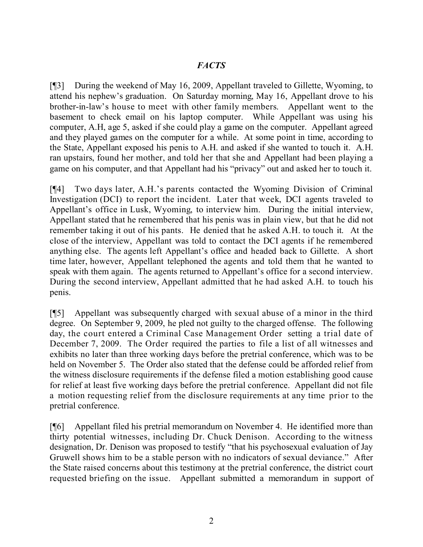# *FACTS*

[¶3] During the weekend of May 16, 2009, Appellant traveled to Gillette, Wyoming, to attend his nephew's graduation. On Saturday morning, May 16, Appellant drove to his brother-in-law's house to meet with other family members. Appellant went to the basement to check email on his laptop computer. While Appellant was using his computer, A.H, age 5, asked if she could play a game on the computer. Appellant agreed and they played games on the computer for a while. At some point in time, according to the State, Appellant exposed his penis to A.H. and asked if she wanted to touch it. A.H. ran upstairs, found her mother, and told her that she and Appellant had been playing a game on his computer, and that Appellant had his "privacy" out and asked her to touch it.

[¶4] Two days later, A.H.'s parents contacted the Wyoming Division of Criminal Investigation (DCI) to report the incident. Later that week, DCI agents traveled to Appellant's office in Lusk, Wyoming, to interview him. During the initial interview, Appellant stated that he remembered that his penis was in plain view, but that he did not remember taking it out of his pants. He denied that he asked A.H. to touch it. At the close of the interview, Appellant was told to contact the DCI agents if he remembered anything else. The agents left Appellant's office and headed back to Gillette. A short time later, however, Appellant telephoned the agents and told them that he wanted to speak with them again. The agents returned to Appellant's office for a second interview. During the second interview, Appellant admitted that he had asked A.H. to touch his penis.

[¶5] Appellant was subsequently charged with sexual abuse of a minor in the third degree. On September 9, 2009, he pled not guilty to the charged offense. The following day, the court entered a Criminal Case Management Order setting a trial date of December 7, 2009. The Order required the parties to file a list of all witnesses and exhibits no later than three working days before the pretrial conference, which was to be held on November 5. The Order also stated that the defense could be afforded relief from the witness disclosure requirements if the defense filed a motion establishing good cause for relief at least five working days before the pretrial conference. Appellant did not file a motion requesting relief from the disclosure requirements at any time prior to the pretrial conference.

[¶6] Appellant filed his pretrial memorandum on November 4. He identified more than thirty potential witnesses, including Dr. Chuck Denison. According to the witness designation, Dr. Denison was proposed to testify "that his psychosexual evaluation of Jay Gruwell shows him to be a stable person with no indicators of sexual deviance." After the State raised concerns about this testimony at the pretrial conference, the district court requested briefing on the issue. Appellant submitted a memorandum in support of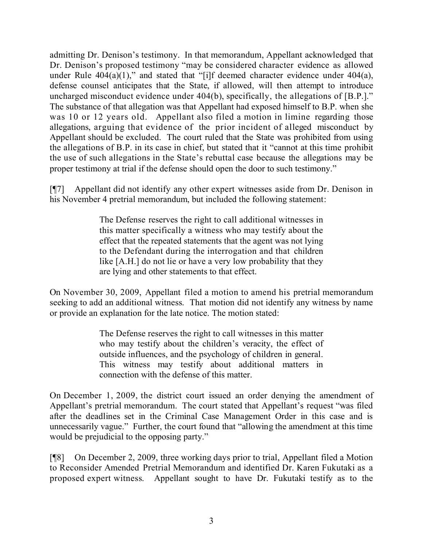admitting Dr. Denison's testimony. In that memorandum, Appellant acknowledged that Dr. Denison's proposed testimony "may be considered character evidence as allowed under Rule  $404(a)(1)$ ," and stated that "[i]f deemed character evidence under  $404(a)$ , defense counsel anticipates that the State, if allowed, will then attempt to introduce uncharged misconduct evidence under 404(b), specifically, the allegations of [B.P.]." The substance of that allegation was that Appellant had exposed himself to B.P. when she was 10 or 12 years old. Appellant also filed a motion in limine regarding those allegations, arguing that evidence of the prior incident of alleged misconduct by Appellant should be excluded. The court ruled that the State was prohibited from using the allegations of B.P. in its case in chief, but stated that it "cannot at this time prohibit the use of such allegations in the State's rebuttal case because the allegations may be proper testimony at trial if the defense should open the door to such testimony."

[¶7] Appellant did not identify any other expert witnesses aside from Dr. Denison in his November 4 pretrial memorandum, but included the following statement:

> The Defense reserves the right to call additional witnesses in this matter specifically a witness who may testify about the effect that the repeated statements that the agent was not lying to the Defendant during the interrogation and that children like [A.H.] do not lie or have a very low probability that they are lying and other statements to that effect.

On November 30, 2009, Appellant filed a motion to amend his pretrial memorandum seeking to add an additional witness. That motion did not identify any witness by name or provide an explanation for the late notice. The motion stated:

> The Defense reserves the right to call witnesses in this matter who may testify about the children's veracity, the effect of outside influences, and the psychology of children in general. This witness may testify about additional matters in connection with the defense of this matter.

On December 1, 2009, the district court issued an order denying the amendment of Appellant's pretrial memorandum. The court stated that Appellant's request "was filed after the deadlines set in the Criminal Case Management Order in this case and is unnecessarily vague." Further, the court found that "allowing the amendment at this time would be prejudicial to the opposing party."

[¶8] On December 2, 2009, three working days prior to trial, Appellant filed a Motion to Reconsider Amended Pretrial Memorandum and identified Dr. Karen Fukutaki as a proposed expert witness. Appellant sought to have Dr. Fukutaki testify as to the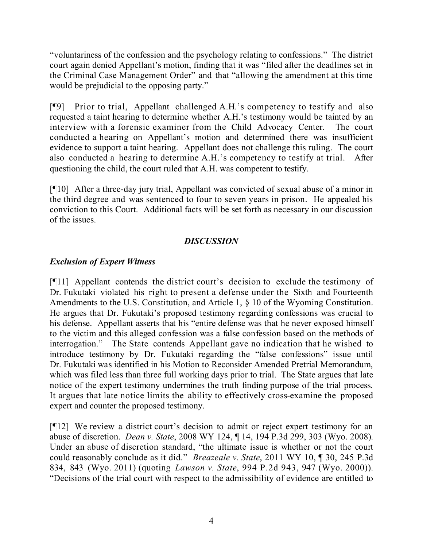"voluntariness of the confession and the psychology relating to confessions." The district court again denied Appellant's motion, finding that it was "filed after the deadlines set in the Criminal Case Management Order" and that "allowing the amendment at this time would be prejudicial to the opposing party."

[¶9] Prior to trial, Appellant challenged A.H.'s competency to testify and also requested a taint hearing to determine whether A.H.'s testimony would be tainted by an interview with a forensic examiner from the Child Advocacy Center. The court conducted a hearing on Appellant's motion and determined there was insufficient evidence to support a taint hearing. Appellant does not challenge this ruling. The court also conducted a hearing to determine A.H.'s competency to testify at trial. After questioning the child, the court ruled that A.H. was competent to testify.

[¶10] After a three-day jury trial, Appellant was convicted of sexual abuse of a minor in the third degree and was sentenced to four to seven years in prison. He appealed his conviction to this Court. Additional facts will be set forth as necessary in our discussion of the issues.

# *DISCUSSION*

# *Exclusion of Expert Witness*

[¶11] Appellant contends the district court's decision to exclude the testimony of Dr. Fukutaki violated his right to present a defense under the Sixth and Fourteenth Amendments to the U.S. Constitution, and Article 1, § 10 of the Wyoming Constitution. He argues that Dr. Fukutaki's proposed testimony regarding confessions was crucial to his defense. Appellant asserts that his "entire defense was that he never exposed himself to the victim and this alleged confession was a false confession based on the methods of interrogation." The State contends Appellant gave no indication that he wished to introduce testimony by Dr. Fukutaki regarding the "false confessions" issue until Dr. Fukutaki was identified in his Motion to Reconsider Amended Pretrial Memorandum, which was filed less than three full working days prior to trial. The State argues that late notice of the expert testimony undermines the truth finding purpose of the trial process. It argues that late notice limits the ability to effectively cross-examine the proposed expert and counter the proposed testimony.

[¶12] We review a district court's decision to admit or reject expert testimony for an abuse of discretion. *Dean v. State*, 2008 WY 124, ¶ 14, 194 P.3d 299, 303 (Wyo. 2008). Under an abuse of discretion standard, "the ultimate issue is whether or not the court could reasonably conclude as it did." *Breazeale v. State*, 2011 WY 10, ¶ 30, 245 P.3d 834, 843 (Wyo. 2011) (quoting *Lawson v. State*, 994 P.2d 943, 947 (Wyo. 2000)). "Decisions of the trial court with respect to the admissibility of evidence are entitled to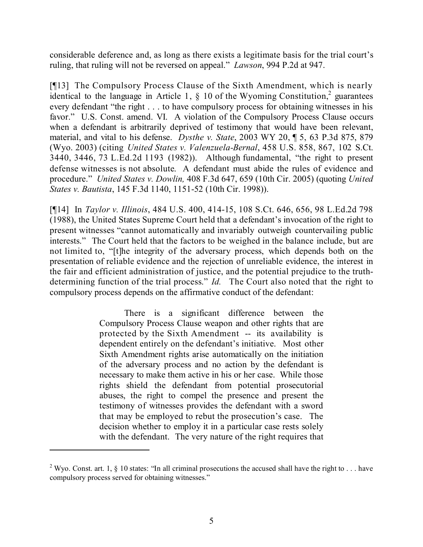considerable deference and, as long as there exists a legitimate basis for the trial court's ruling, that ruling will not be reversed on appeal." *Lawson*, 994 P.2d at 947.

[¶13] The Compulsory Process Clause of the Sixth Amendment, which is nearly identical to the language in Article 1, § 10 of the Wyoming Constitution,<sup>2</sup> guarantees every defendant "the right . . . to have compulsory process for obtaining witnesses in his favor." U.S. Const. amend. VI. A violation of the Compulsory Process Clause occurs when a defendant is arbitrarily deprived of testimony that would have been relevant, material, and vital to his defense. *Dysthe v. State*, 2003 WY 20, ¶ 5, 63 P.3d 875, 879 (Wyo. 2003) (citing *United States v. Valenzuela-Bernal*, 458 U.S. 858, 867, 102 S.Ct. 3440, 3446, 73 L.Ed.2d 1193 (1982)). Although fundamental, "the right to present defense witnesses is not absolute. A defendant must abide the rules of evidence and procedure." *United States v. Dowlin,* 408 F.3d 647, 659 (10th Cir. 2005) (quoting *United States v. Bautista*, 145 F.3d 1140, 1151-52 (10th Cir. 1998)).

[¶14] In *Taylor v. Illinois*, 484 U.S. 400, 414-15, 108 S.Ct. 646, 656, 98 L.Ed.2d 798 (1988), the United States Supreme Court held that a defendant's invocation of the right to present witnesses "cannot automatically and invariably outweigh countervailing public interests." The Court held that the factors to be weighed in the balance include, but are not limited to, "[t]he integrity of the adversary process, which depends both on the presentation of reliable evidence and the rejection of unreliable evidence, the interest in the fair and efficient administration of justice, and the potential prejudice to the truthdetermining function of the trial process." *Id.* The Court also noted that the right to compulsory process depends on the affirmative conduct of the defendant:

> There is a significant difference between the Compulsory Process Clause weapon and other rights that are protected by the Sixth Amendment -- its availability is dependent entirely on the defendant's initiative. Most other Sixth Amendment rights arise automatically on the initiation of the adversary process and no action by the defendant is necessary to make them active in his or her case. While those rights shield the defendant from potential prosecutorial abuses, the right to compel the presence and present the testimony of witnesses provides the defendant with a sword that may be employed to rebut the prosecution's case. The decision whether to employ it in a particular case rests solely with the defendant. The very nature of the right requires that

<sup>&</sup>lt;sup>2</sup> Wyo. Const. art. 1,  $\frac{1}{2}$  10 states: "In all criminal prosecutions the accused shall have the right to . . . have compulsory process served for obtaining witnesses."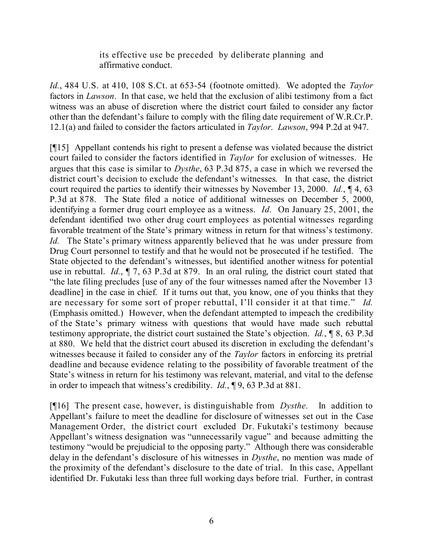its effective use be preceded by deliberate planning and affirmative conduct.

*Id.*, 484 U.S. at 410, 108 S.Ct. at 653-54 (footnote omitted). We adopted the *Taylor* factors in *Lawson*. In that case, we held that the exclusion of alibi testimony from a fact witness was an abuse of discretion where the district court failed to consider any factor other than the defendant's failure to comply with the filing date requirement of W.R.Cr.P. 12.1(a) and failed to consider the factors articulated in *Taylor*. *Lawson*, 994 P.2d at 947.

[¶15] Appellant contends his right to present a defense was violated because the district court failed to consider the factors identified in *Taylor* for exclusion of witnesses. He argues that this case is similar to *Dysthe*, 63 P.3d 875, a case in which we reversed the district court's decision to exclude the defendant's witnesses. In that case, the district court required the parties to identify their witnesses by November 13, 2000. *Id.*, ¶ 4, 63 P.3d at 878. The State filed a notice of additional witnesses on December 5, 2000, identifying a former drug court employee as a witness. *Id.* On January 25, 2001, the defendant identified two other drug court employees as potential witnesses regarding favorable treatment of the State's primary witness in return for that witness's testimony. *Id.* The State's primary witness apparently believed that he was under pressure from Drug Court personnel to testify and that he would not be prosecuted if he testified. The State objected to the defendant's witnesses, but identified another witness for potential use in rebuttal. *Id.*, ¶ 7, 63 P.3d at 879. In an oral ruling, the district court stated that "the late filing precludes [use of any of the four witnesses named after the November 13 deadline] in the case in chief. If it turns out that, you know, one of you thinks that they are necessary for some sort of proper rebuttal, I'll consider it at that time." *Id.* (Emphasis omitted.) However, when the defendant attempted to impeach the credibility of the State's primary witness with questions that would have made such rebuttal testimony appropriate, the district court sustained the State's objection. *Id.*, ¶ 8, 63 P.3d at 880. We held that the district court abused its discretion in excluding the defendant's witnesses because it failed to consider any of the *Taylor* factors in enforcing its pretrial deadline and because evidence relating to the possibility of favorable treatment of the State's witness in return for his testimony was relevant, material, and vital to the defense in order to impeach that witness's credibility. *Id.*, ¶ 9, 63 P.3d at 881.

[¶16] The present case, however, is distinguishable from *Dysthe*. In addition to Appellant's failure to meet the deadline for disclosure of witnesses set out in the Case Management Order, the district court excluded Dr. Fukutaki's testimony because Appellant's witness designation was "unnecessarily vague" and because admitting the testimony "would be prejudicial to the opposing party." Although there was considerable delay in the defendant's disclosure of his witnesses in *Dysthe*, no mention was made of the proximity of the defendant's disclosure to the date of trial. In this case, Appellant identified Dr. Fukutaki less than three full working days before trial. Further, in contrast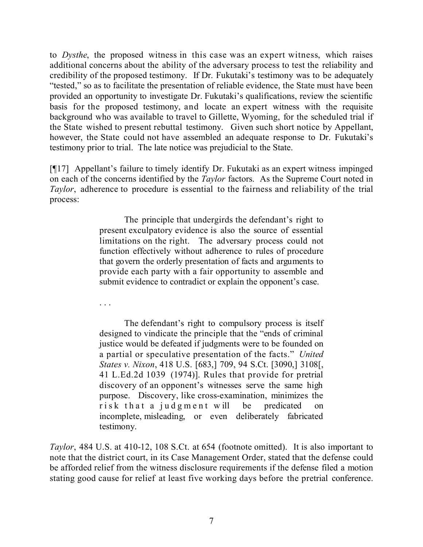to *Dysthe*, the proposed witness in this case was an expert witness, which raises additional concerns about the ability of the adversary process to test the reliability and credibility of the proposed testimony. If Dr. Fukutaki's testimony was to be adequately "tested," so as to facilitate the presentation of reliable evidence, the State must have been provided an opportunity to investigate Dr. Fukutaki's qualifications, review the scientific basis for the proposed testimony, and locate an expert witness with the requisite background who was available to travel to Gillette, Wyoming, for the scheduled trial if the State wished to present rebuttal testimony. Given such short notice by Appellant, however, the State could not have assembled an adequate response to Dr. Fukutaki's testimony prior to trial. The late notice was prejudicial to the State.

[¶17] Appellant's failure to timely identify Dr. Fukutaki as an expert witness impinged on each of the concerns identified by the *Taylor* factors. As the Supreme Court noted in *Taylor*, adherence to procedure is essential to the fairness and reliability of the trial process:

> The principle that undergirds the defendant's right to present exculpatory evidence is also the source of essential limitations on the right. The adversary process could not function effectively without adherence to rules of procedure that govern the orderly presentation of facts and arguments to provide each party with a fair opportunity to assemble and submit evidence to contradict or explain the opponent's case.

. . .

The defendant's right to compulsory process is itself designed to vindicate the principle that the "ends of criminal justice would be defeated if judgments were to be founded on a partial or speculative presentation of the facts." *United States v. Nixon*, 418 U.S. [683,] 709, 94 S.Ct. [3090,] 3108[, 41 L.Ed.2d 1039 (1974)]. Rules that provide for pretrial discovery of an opponent's witnesses serve the same high purpose. Discovery, like cross-examination, minimizes the risk that a judgment will be predicated on incomplete, misleading, or even deliberately fabricated testimony.

*Taylor*, 484 U.S. at 410-12, 108 S.Ct. at 654 (footnote omitted). It is also important to note that the district court, in its Case Management Order, stated that the defense could be afforded relief from the witness disclosure requirements if the defense filed a motion stating good cause for relief at least five working days before the pretrial conference.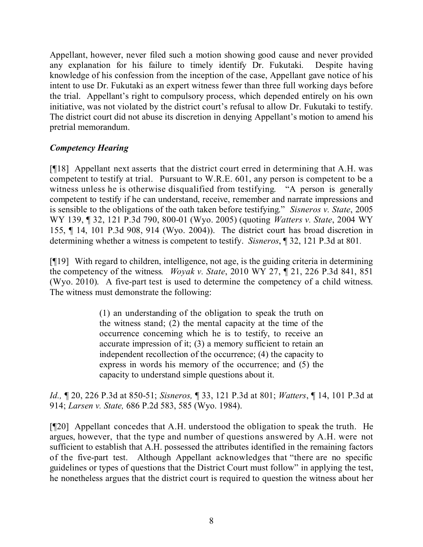Appellant, however, never filed such a motion showing good cause and never provided any explanation for his failure to timely identify Dr. Fukutaki. Despite having knowledge of his confession from the inception of the case, Appellant gave notice of his intent to use Dr. Fukutaki as an expert witness fewer than three full working days before the trial. Appellant's right to compulsory process, which depended entirely on his own initiative, was not violated by the district court's refusal to allow Dr. Fukutaki to testify. The district court did not abuse its discretion in denying Appellant's motion to amend his pretrial memorandum.

# *Competency Hearing*

[¶18] Appellant next asserts that the district court erred in determining that A.H. was competent to testify at trial. Pursuant to W.R.E. 601, any person is competent to be a witness unless he is otherwise disqualified from testifying. "A person is generally competent to testify if he can understand, receive, remember and narrate impressions and is sensible to the obligations of the oath taken before testifying." *Sisneros v. State*, 2005 WY 139, ¶ 32, 121 P.3d 790, 800-01 (Wyo. 2005) (quoting *Watters v. State*, 2004 WY 155, ¶ 14, 101 P.3d 908, 914 (Wyo. 2004)). The district court has broad discretion in determining whether a witness is competent to testify. *Sisneros*, ¶ 32, 121 P.3d at 801*.*

[¶19] With regard to children, intelligence, not age, is the guiding criteria in determining the competency of the witness*. Woyak v. State*, 2010 WY 27, ¶ 21, 226 P.3d 841, 851 (Wyo. 2010). A five-part test is used to determine the competency of a child witness. The witness must demonstrate the following:

> (1) an understanding of the obligation to speak the truth on the witness stand; (2) the mental capacity at the time of the occurrence concerning which he is to testify, to receive an accurate impression of it; (3) a memory sufficient to retain an independent recollection of the occurrence; (4) the capacity to express in words his memory of the occurrence; and (5) the capacity to understand simple questions about it.

*Id.,* ¶ 20, 226 P.3d at 850-51; *Sisneros,* ¶ 33, 121 P.3d at 801; *Watters*, ¶ 14, 101 P.3d at 914; *Larsen v. State,* 686 P.2d 583, 585 (Wyo. 1984).

[¶20] Appellant concedes that A.H. understood the obligation to speak the truth. He argues, however, that the type and number of questions answered by A.H. were not sufficient to establish that A.H. possessed the attributes identified in the remaining factors of the five-part test. Although Appellant acknowledges that "there are no specific guidelines or types of questions that the District Court must follow" in applying the test, he nonetheless argues that the district court is required to question the witness about her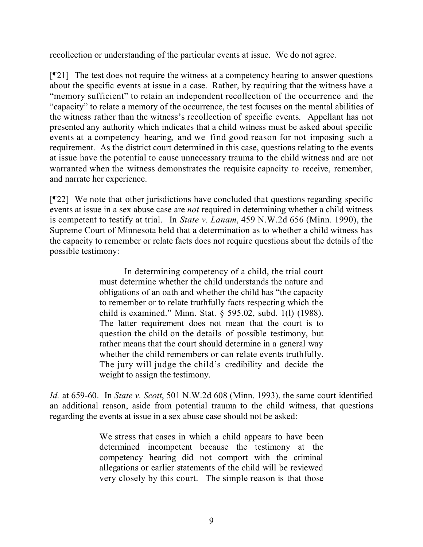recollection or understanding of the particular events at issue. We do not agree.

[¶21] The test does not require the witness at a competency hearing to answer questions about the specific events at issue in a case. Rather, by requiring that the witness have a "memory sufficient" to retain an independent recollection of the occurrence and the "capacity" to relate a memory of the occurrence, the test focuses on the mental abilities of the witness rather than the witness's recollection of specific events. Appellant has not presented any authority which indicates that a child witness must be asked about specific events at a competency hearing, and we find good reason for not imposing such a requirement. As the district court determined in this case, questions relating to the events at issue have the potential to cause unnecessary trauma to the child witness and are not warranted when the witness demonstrates the requisite capacity to receive, remember, and narrate her experience.

[¶22] We note that other jurisdictions have concluded that questions regarding specific events at issue in a sex abuse case are *not* required in determining whether a child witness is competent to testify at trial. In *State v. Lanam*, 459 N.W.2d 656 (Minn. 1990), the Supreme Court of Minnesota held that a determination as to whether a child witness has the capacity to remember or relate facts does not require questions about the details of the possible testimony:

> In determining competency of a child, the trial court must determine whether the child understands the nature and obligations of an oath and whether the child has "the capacity to remember or to relate truthfully facts respecting which the child is examined." Minn. Stat. § 595.02, subd. 1(l) (1988). The latter requirement does not mean that the court is to question the child on the details of possible testimony, but rather means that the court should determine in a general way whether the child remembers or can relate events truthfully. The jury will judge the child's credibility and decide the weight to assign the testimony.

*Id.* at 659-60. In *State v. Scott*, 501 N.W.2d 608 (Minn. 1993), the same court identified an additional reason, aside from potential trauma to the child witness, that questions regarding the events at issue in a sex abuse case should not be asked:

> We stress that cases in which a child appears to have been determined incompetent because the testimony at the competency hearing did not comport with the criminal allegations or earlier statements of the child will be reviewed very closely by this court. The simple reason is that those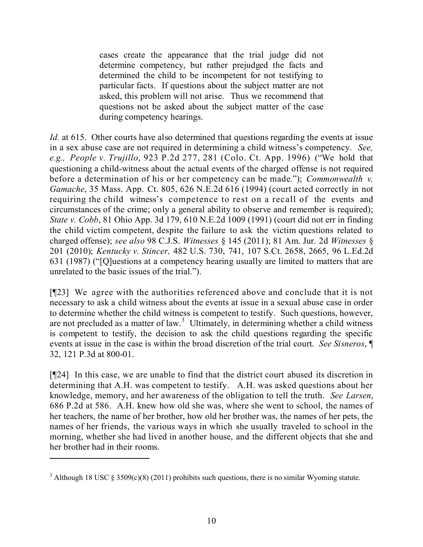cases create the appearance that the trial judge did not determine competency, but rather prejudged the facts and determined the child to be incompetent for not testifying to particular facts. If questions about the subject matter are not asked, this problem will not arise. Thus we recommend that questions not be asked about the subject matter of the case during competency hearings.

*Id.* at 615. Other courts have also determined that questions regarding the events at issue in a sex abuse case are not required in determining a child witness's competency. *See, e.g., People v. Trujillo*, 923 P.2d 277, 281 (Colo. Ct. App. 1996) ("We hold that questioning a child-witness about the actual events of the charged offense is not required before a determination of his or her competency can be made."); *Commonwealth v. Gamache*, 35 Mass. App. Ct. 805, 626 N.E.2d 616 (1994) (court acted correctly in not requiring the child witness's competence to rest on a recall of the events and circumstances of the crime; only a general ability to observe and remember is required); *State v. Cobb*, 81 Ohio App. 3d 179, 610 N.E.2d 1009 (1991) (court did not err in finding the child victim competent, despite the failure to ask the victim questions related to charged offense); *see also* 98 C.J.S. *Witnesses* § 145 (2011); 81 Am. Jur. 2d *Witnesses* § 201 (2010); *Kentucky v. Stincer,* 482 U.S. 730, 741, 107 S.Ct. 2658, 2665, 96 L.Ed.2d 631 (1987) ("[Q]uestions at a competency hearing usually are limited to matters that are unrelated to the basic issues of the trial.").

[¶23] We agree with the authorities referenced above and conclude that it is not necessary to ask a child witness about the events at issue in a sexual abuse case in order to determine whether the child witness is competent to testify. Such questions, however, are not precluded as a matter of law.<sup>3</sup> Ultimately, in determining whether a child witness is competent to testify, the decision to ask the child questions regarding the specific events at issue in the case is within the broad discretion of the trial court. *See Sisneros*, ¶ 32, 121 P.3d at 800-01.

[¶24] In this case, we are unable to find that the district court abused its discretion in determining that A.H. was competent to testify. A.H. was asked questions about her knowledge, memory, and her awareness of the obligation to tell the truth. *See Larsen*, 686 P.2d at 586. A.H. knew how old she was, where she went to school, the names of her teachers, the name of her brother, how old her brother was, the names of her pets, the names of her friends, the various ways in which she usually traveled to school in the morning, whether she had lived in another house, and the different objects that she and her brother had in their rooms.

<sup>&</sup>lt;sup>3</sup> Although 18 USC § 3509(c)(8) (2011) prohibits such questions, there is no similar Wyoming statute.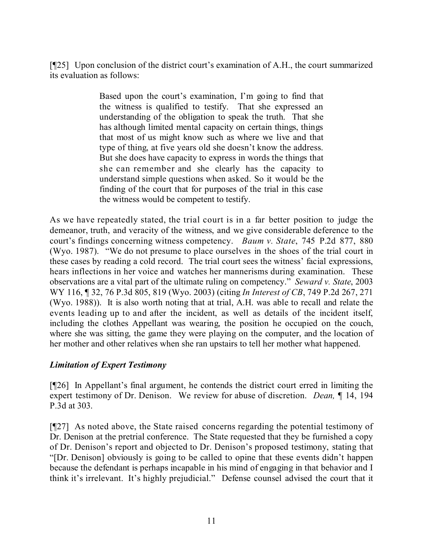[¶25] Upon conclusion of the district court's examination of A.H., the court summarized its evaluation as follows:

> Based upon the court's examination, I'm going to find that the witness is qualified to testify. That she expressed an understanding of the obligation to speak the truth. That she has although limited mental capacity on certain things, things that most of us might know such as where we live and that type of thing, at five years old she doesn't know the address. But she does have capacity to express in words the things that she can remember and she clearly has the capacity to understand simple questions when asked. So it would be the finding of the court that for purposes of the trial in this case the witness would be competent to testify.

As we have repeatedly stated, the trial court is in a far better position to judge the demeanor, truth, and veracity of the witness, and we give considerable deference to the court's findings concerning witness competency. *Baum v. State*, 745 P.2d 877, 880 (Wyo. 1987). "We do not presume to place ourselves in the shoes of the trial court in these cases by reading a cold record. The trial court sees the witness' facial expressions, hears inflections in her voice and watches her mannerisms during examination. These observations are a vital part of the ultimate ruling on competency." *Seward v. State*, 2003 WY 116, ¶ 32, 76 P.3d 805, 819 (Wyo. 2003) (citing *In Interest of CB*, 749 P.2d 267, 271 (Wyo. 1988)). It is also worth noting that at trial, A.H. was able to recall and relate the events leading up to and after the incident, as well as details of the incident itself, including the clothes Appellant was wearing, the position he occupied on the couch, where she was sitting, the game they were playing on the computer, and the location of her mother and other relatives when she ran upstairs to tell her mother what happened.

### *Limitation of Expert Testimony*

[¶26] In Appellant's final argument, he contends the district court erred in limiting the expert testimony of Dr. Denison. We review for abuse of discretion. *Dean,* ¶ 14, 194 P.3d at 303.

[¶27] As noted above, the State raised concerns regarding the potential testimony of Dr. Denison at the pretrial conference. The State requested that they be furnished a copy of Dr. Denison's report and objected to Dr. Denison's proposed testimony, stating that "[Dr. Denison] obviously is going to be called to opine that these events didn't happen because the defendant is perhaps incapable in his mind of engaging in that behavior and I think it's irrelevant. It's highly prejudicial." Defense counsel advised the court that it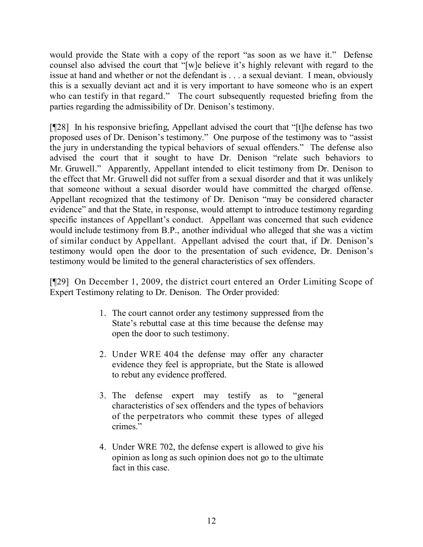would provide the State with a copy of the report "as soon as we have it." Defense counsel also advised the court that "[w]e believe it's highly relevant with regard to the issue at hand and whether or not the defendant is . . . a sexual deviant. I mean, obviously this is a sexually deviant act and it is very important to have someone who is an expert who can testify in that regard." The court subsequently requested briefing from the parties regarding the admissibility of Dr. Denison's testimony.

[¶28] In his responsive briefing, Appellant advised the court that "[t]he defense has two proposed uses of Dr. Denison's testimony." One purpose of the testimony was to "assist the jury in understanding the typical behaviors of sexual offenders." The defense also advised the court that it sought to have Dr. Denison "relate such behaviors to Mr. Gruwell." Apparently, Appellant intended to elicit testimony from Dr. Denison to the effect that Mr. Gruwell did not suffer from a sexual disorder and that it was unlikely that someone without a sexual disorder would have committed the charged offense. Appellant recognized that the testimony of Dr. Denison "may be considered character evidence" and that the State, in response, would attempt to introduce testimony regarding specific instances of Appellant's conduct. Appellant was concerned that such evidence would include testimony from B.P., another individual who alleged that she was a victim of similar conduct by Appellant. Appellant advised the court that, if Dr. Denison's testimony would open the door to the presentation of such evidence, Dr. Denison's testimony would be limited to the general characteristics of sex offenders.

[¶29] On December 1, 2009, the district court entered an Order Limiting Scope of Expert Testimony relating to Dr. Denison. The Order provided:

- 1. The court cannot order any testimony suppressed from the State's rebuttal case at this time because the defense may open the door to such testimony.
- 2. Under WRE 404 the defense may offer any character evidence they feel is appropriate, but the State is allowed to rebut any evidence proffered.
- 3. The defense expert may testify as to "general characteristics of sex offenders and the types of behaviors of the perpetrators who commit these types of alleged crimes."
- 4. Under WRE 702, the defense expert is allowed to give his opinion as long as such opinion does not go to the ultimate fact in this case.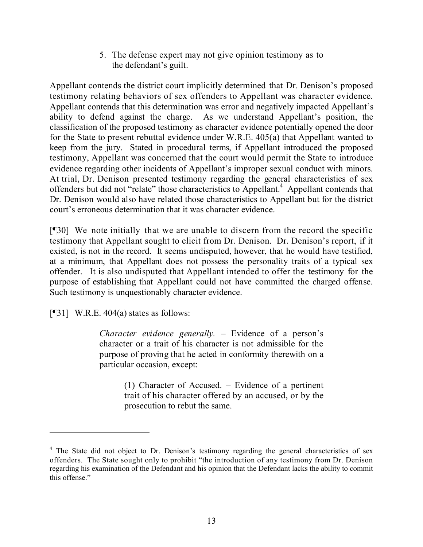5. The defense expert may not give opinion testimony as to the defendant's guilt.

Appellant contends the district court implicitly determined that Dr. Denison's proposed testimony relating behaviors of sex offenders to Appellant was character evidence. Appellant contends that this determination was error and negatively impacted Appellant's ability to defend against the charge. As we understand Appellant's position, the classification of the proposed testimony as character evidence potentially opened the door for the State to present rebuttal evidence under W.R.E. 405(a) that Appellant wanted to keep from the jury. Stated in procedural terms, if Appellant introduced the proposed testimony, Appellant was concerned that the court would permit the State to introduce evidence regarding other incidents of Appellant's improper sexual conduct with minors. At trial, Dr. Denison presented testimony regarding the general characteristics of sex offenders but did not "relate" those characteristics to Appellant.<sup>4</sup> Appellant contends that Dr. Denison would also have related those characteristics to Appellant but for the district court's erroneous determination that it was character evidence.

[¶30] We note initially that we are unable to discern from the record the specific testimony that Appellant sought to elicit from Dr. Denison. Dr. Denison's report, if it existed, is not in the record. It seems undisputed, however, that he would have testified, at a minimum, that Appellant does not possess the personality traits of a typical sex offender. It is also undisputed that Appellant intended to offer the testimony for the purpose of establishing that Appellant could not have committed the charged offense. Such testimony is unquestionably character evidence.

[ $[$ [31] W.R.E. 404(a) states as follows:

*Character evidence generally.* – Evidence of a person's character or a trait of his character is not admissible for the purpose of proving that he acted in conformity therewith on a particular occasion, except:

> (1) Character of Accused. – Evidence of a pertinent trait of his character offered by an accused, or by the prosecution to rebut the same.

<sup>&</sup>lt;sup>4</sup> The State did not object to Dr. Denison's testimony regarding the general characteristics of sex offenders. The State sought only to prohibit "the introduction of any testimony from Dr. Denison regarding his examination of the Defendant and his opinion that the Defendant lacks the ability to commit this offense."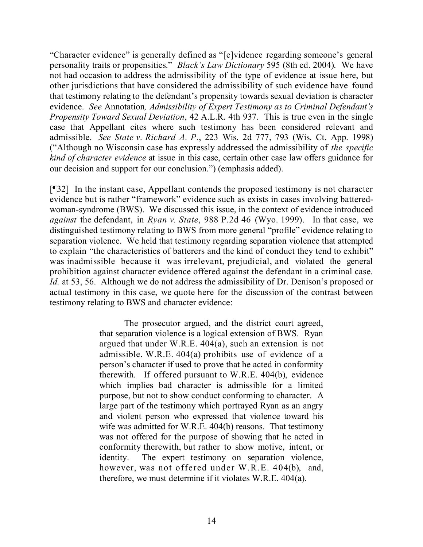"Character evidence" is generally defined as "[e]vidence regarding someone's general personality traits or propensities." *Black's Law Dictionary* 595 (8th ed. 2004). We have not had occasion to address the admissibility of the type of evidence at issue here, but other jurisdictions that have considered the admissibility of such evidence have found that testimony relating to the defendant's propensity towards sexual deviation is character evidence. *See* Annotation*, Admissibility of Expert Testimony as to Criminal Defendant's Propensity Toward Sexual Deviation*, 42 A.L.R. 4th 937. This is true even in the single case that Appellant cites where such testimony has been considered relevant and admissible. *See State v. Richard A. P.*, 223 Wis. 2d 777, 793 (Wis. Ct. App. 1998) ("Although no Wisconsin case has expressly addressed the admissibility of *the specific kind of character evidence* at issue in this case, certain other case law offers guidance for our decision and support for our conclusion.") (emphasis added).

[¶32] In the instant case, Appellant contends the proposed testimony is not character evidence but is rather "framework" evidence such as exists in cases involving batteredwoman-syndrome (BWS). We discussed this issue, in the context of evidence introduced *against* the defendant, in *Ryan v. State*, 988 P.2d 46 (Wyo. 1999). In that case, we distinguished testimony relating to BWS from more general "profile" evidence relating to separation violence. We held that testimony regarding separation violence that attempted to explain "the characteristics of batterers and the kind of conduct they tend to exhibit" was inadmissible because it was irrelevant, prejudicial, and violated the general prohibition against character evidence offered against the defendant in a criminal case. *Id.* at 53, 56. Although we do not address the admissibility of Dr. Denison's proposed or actual testimony in this case, we quote here for the discussion of the contrast between testimony relating to BWS and character evidence:

> The prosecutor argued, and the district court agreed, that separation violence is a logical extension of BWS. Ryan argued that under W.R.E. 404(a), such an extension is not admissible. W.R.E. 404(a) prohibits use of evidence of a person's character if used to prove that he acted in conformity therewith. If offered pursuant to W.R.E. 404(b), evidence which implies bad character is admissible for a limited purpose, but not to show conduct conforming to character. A large part of the testimony which portrayed Ryan as an angry and violent person who expressed that violence toward his wife was admitted for W.R.E. 404(b) reasons. That testimony was not offered for the purpose of showing that he acted in conformity therewith, but rather to show motive, intent, or identity. The expert testimony on separation violence, however, was not offered under W.R.E. 404(b), and, therefore, we must determine if it violates W.R.E. 404(a).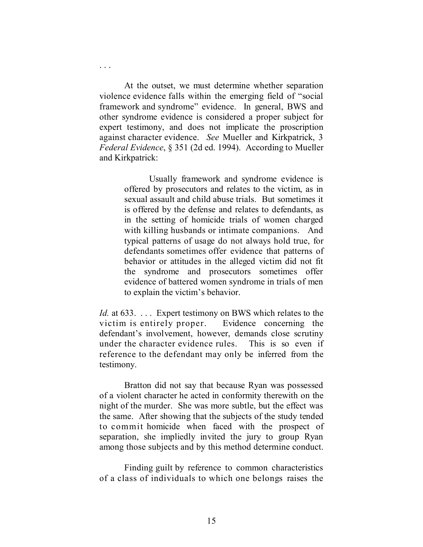At the outset, we must determine whether separation violence evidence falls within the emerging field of "social framework and syndrome" evidence. In general, BWS and other syndrome evidence is considered a proper subject for expert testimony, and does not implicate the proscription against character evidence. *See* Mueller and Kirkpatrick, 3 *Federal Evidence*, § 351 (2d ed. 1994). According to Mueller and Kirkpatrick:

. . .

Usually framework and syndrome evidence is offered by prosecutors and relates to the victim, as in sexual assault and child abuse trials. But sometimes it is offered by the defense and relates to defendants, as in the setting of homicide trials of women charged with killing husbands or intimate companions. And typical patterns of usage do not always hold true, for defendants sometimes offer evidence that patterns of behavior or attitudes in the alleged victim did not fit the syndrome and prosecutors sometimes offer evidence of battered women syndrome in trials of men to explain the victim's behavior.

*Id.* at 633. . . . Expert testimony on BWS which relates to the victim is entirely proper. Evidence concerning the defendant's involvement, however, demands close scrutiny under the character evidence rules. This is so even if reference to the defendant may only be inferred from the testimony.

Bratton did not say that because Ryan was possessed of a violent character he acted in conformity therewith on the night of the murder. She was more subtle, but the effect was the same. After showing that the subjects of the study tended to commit homicide when faced with the prospect of separation, she impliedly invited the jury to group Ryan among those subjects and by this method determine conduct.

Finding guilt by reference to common characteristics of a class of individuals to which one belongs raises the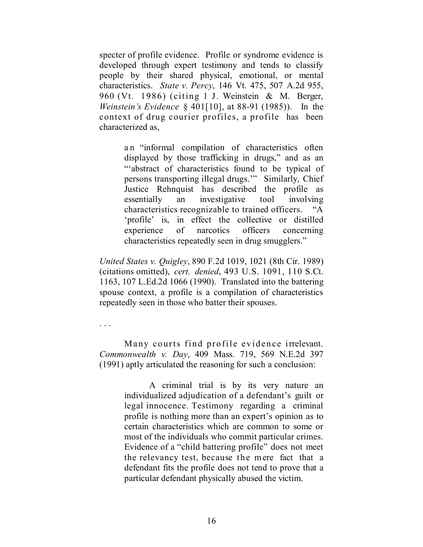specter of profile evidence. Profile or syndrome evidence is developed through expert testimony and tends to classify people by their shared physical, emotional, or mental characteristics. *State v. Percy*, 146 Vt. 475, 507 A.2d 955, 960 (Vt. 1986) (citing 1 J. Weinstein & M. Berger, *Weinstein's Evidence* § 401[10], at 88-91 (1985)). In the context of drug courier profiles, a profile has been characterized as,

> an "informal compilation of characteristics often displayed by those trafficking in drugs," and as an "'abstract of characteristics found to be typical of persons transporting illegal drugs.'" Similarly, Chief Justice Rehnquist has described the profile as essentially an investigative tool involving characteristics recognizable to trained officers. "A 'profile' is, in effect the collective or distilled experience of narcotics officers concerning characteristics repeatedly seen in drug smugglers."

*United States v. Quigley*, 890 F.2d 1019, 1021 (8th Cir. 1989) (citations omitted), *cert. denied*, 493 U.S. 1091, 110 S.Ct. 1163, 107 L.Ed.2d 1066 (1990). Translated into the battering spouse context, a profile is a compilation of characteristics repeatedly seen in those who batter their spouses.

. . .

Many courts find profile evidence irrelevant. *Commonwealth v. Day*, 409 Mass. 719, 569 N.E.2d 397 (1991) aptly articulated the reasoning for such a conclusion:

> A criminal trial is by its very nature an individualized adjudication of a defendant's guilt or legal innocence. Testimony regarding a criminal profile is nothing more than an expert's opinion as to certain characteristics which are common to some or most of the individuals who commit particular crimes. Evidence of a "child battering profile" does not meet the relevancy test, because the mere fact that a defendant fits the profile does not tend to prove that a particular defendant physically abused the victim.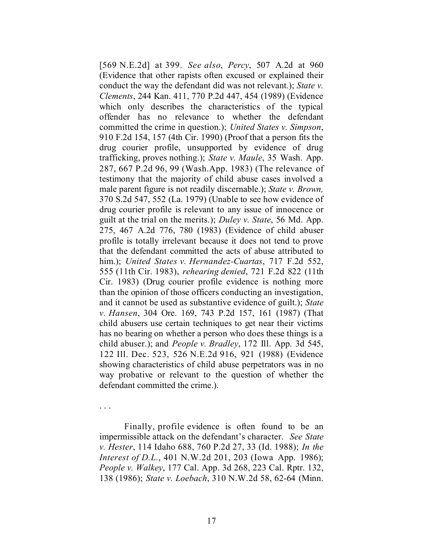[569 N.E.2d] at 399. *See also*, *Percy*, 507 A.2d at 960 (Evidence that other rapists often excused or explained their conduct the way the defendant did was not relevant.); *State v. Clements*, 244 Kan. 411, 770 P.2d 447, 454 (1989) (Evidence which only describes the characteristics of the typical offender has no relevance to whether the defendant committed the crime in question.); *United States v. Simpson*, 910 F.2d 154, 157 (4th Cir. 1990) (Proof that a person fits the drug courier profile, unsupported by evidence of drug trafficking, proves nothing.); *State v. Maule*, 35 Wash. App. 287, 667 P.2d 96, 99 (Wash.App. 1983) (The relevance of testimony that the majority of child abuse cases involved a male parent figure is not readily discernable.); *State v. Brown,* 370 S.2d 547, 552 (La. 1979) (Unable to see how evidence of drug courier profile is relevant to any issue of innocence or guilt at the trial on the merits.); *Duley v. State*, 56 Md. App. 275, 467 A.2d 776, 780 (1983) (Evidence of child abuser profile is totally irrelevant because it does not tend to prove that the defendant committed the acts of abuse attributed to him.); *United States v. Hernandez-Cuartas*, 717 F.2d 552, 555 (11th Cir. 1983), *rehearing denied*, 721 F.2d 822 (11th Cir. 1983) (Drug courier profile evidence is nothing more than the opinion of those officers conducting an investigation, and it cannot be used as substantive evidence of guilt.); *State v. Hansen*, 304 Ore. 169, 743 P.2d 157, 161 (1987) (That child abusers use certain techniques to get near their victims has no bearing on whether a person who does these things is a child abuser.); and *People v. Bradley*, 172 Ill. App. 3d 545, 122 Ill. Dec. 523, 526 N.E.2d 916, 921 (1988) (Evidence showing characteristics of child abuse perpetrators was in no way probative or relevant to the question of whether the defendant committed the crime.).

. . .

Finally, profile evidence is often found to be an impermissible attack on the defendant's character. *See State v. Hester*, 114 Idaho 688, 760 P.2d 27, 33 (Id. 1988); *In the Interest of D.L.*, 401 N.W.2d 201, 203 (Iowa App. 1986); *People v. Walkey*, 177 Cal. App. 3d 268, 223 Cal. Rptr. 132, 138 (1986); *State v. Loebach*, 310 N.W.2d 58, 62-64 (Minn.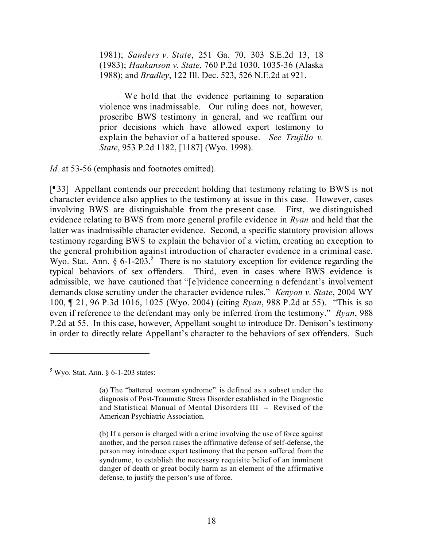1981); *Sanders v. State*, 251 Ga. 70, 303 S.E.2d 13, 18 (1983); *Haakanson v. State*, 760 P.2d 1030, 1035-36 (Alaska 1988); and *Bradley*, 122 Ill. Dec. 523, 526 N.E.2d at 921.

We hold that the evidence pertaining to separation violence was inadmissable. Our ruling does not, however, proscribe BWS testimony in general, and we reaffirm our prior decisions which have allowed expert testimony to explain the behavior of a battered spouse. *See Trujillo v. State*, 953 P.2d 1182, [1187] (Wyo. 1998).

*Id.* at 53-56 (emphasis and footnotes omitted).

[¶33] Appellant contends our precedent holding that testimony relating to BWS is not character evidence also applies to the testimony at issue in this case. However, cases involving BWS are distinguishable from the present case. First, we distinguished evidence relating to BWS from more general profile evidence in *Ryan* and held that the latter was inadmissible character evidence. Second, a specific statutory provision allows testimony regarding BWS to explain the behavior of a victim, creating an exception to the general prohibition against introduction of character evidence in a criminal case. Wyo. Stat. Ann.  $\S 6$ -1-203.<sup>5</sup> There is no statutory exception for evidence regarding the typical behaviors of sex offenders. Third, even in cases where BWS evidence is admissible, we have cautioned that "[e]vidence concerning a defendant's involvement demands close scrutiny under the character evidence rules." *Kenyon v. State*, 2004 WY 100, ¶ 21, 96 P.3d 1016, 1025 (Wyo. 2004) (citing *Ryan*, 988 P.2d at 55). "This is so even if reference to the defendant may only be inferred from the testimony." *Ryan*, 988 P.2d at 55. In this case, however, Appellant sought to introduce Dr. Denison's testimony in order to directly relate Appellant's character to the behaviors of sex offenders. Such

 $<sup>5</sup>$  Wyo. Stat. Ann. § 6-1-203 states:</sup>

<sup>(</sup>a) The "battered woman syndrome" is defined as a subset under the diagnosis of Post-Traumatic Stress Disorder established in the Diagnostic and Statistical Manual of Mental Disorders III -- Revised of the American Psychiatric Association.

<sup>(</sup>b) If a person is charged with a crime involving the use of force against another, and the person raises the affirmative defense of self-defense, the person may introduce expert testimony that the person suffered from the syndrome, to establish the necessary requisite belief of an imminent danger of death or great bodily harm as an element of the affirmative defense, to justify the person's use of force.